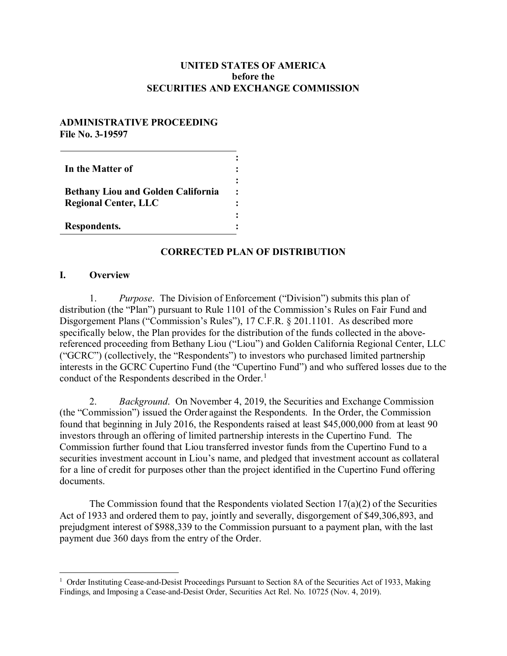## **UNITED STATES OF AMERICA before the SECURITIES AND EXCHANGE COMMISSION**

#### **ADMINISTRATIVE PROCEEDING File No. 3-19597**

| In the Matter of                                                         |  |
|--------------------------------------------------------------------------|--|
| <b>Bethany Liou and Golden California</b><br><b>Regional Center, LLC</b> |  |
| Respondents.                                                             |  |

## **CORRECTED PLAN OF DISTRIBUTION**

## **I. Overview**

1. *Purpose*. The Division of Enforcement ("Division") submits this plan of distribution (the "Plan") pursuant to Rule 1101 of the Commission's Rules on Fair Fund and Disgorgement Plans ("Commission's Rules"), 17 C.F.R. § 201.1101. As described more specifically below, the Plan provides for the distribution of the funds collected in the abovereferenced proceeding from Bethany Liou ("Liou") and Golden California Regional Center, LLC ("GCRC") (collectively, the "Respondents") to investors who purchased limited partnership interests in the GCRC Cupertino Fund (the "Cupertino Fund") and who suffered losses due to the conduct of the Respondents described in the Order.<sup>1</sup>

2. *Background*. On November 4, 2019, the Securities and Exchange Commission (the "Commission") issued the Order against the Respondents. In the Order, the Commission found that beginning in July 2016, the Respondents raised at least \$45,000,000 from at least 90 investors through an offering of limited partnership interests in the Cupertino Fund. The Commission further found that Liou transferred investor funds from the Cupertino Fund to a securities investment account in Liou's name, and pledged that investment account as collateral for a line of credit for purposes other than the project identified in the Cupertino Fund offering documents.

The Commission found that the Respondents violated Section  $17(a)(2)$  of the Securities Act of 1933 and ordered them to pay, jointly and severally, disgorgement of \$49,306,893, and prejudgment interest of \$988,339 to the Commission pursuant to a payment plan, with the last payment due 360 days from the entry of the Order.

<sup>&</sup>lt;sup>1</sup> Order Instituting Cease-and-Desist Proceedings Pursuant to Section 8A of the Securities Act of 1933, Making Findings, and Imposing a Cease-and-Desist Order, Securities Act Rel. No. 10725 (Nov. 4, 2019).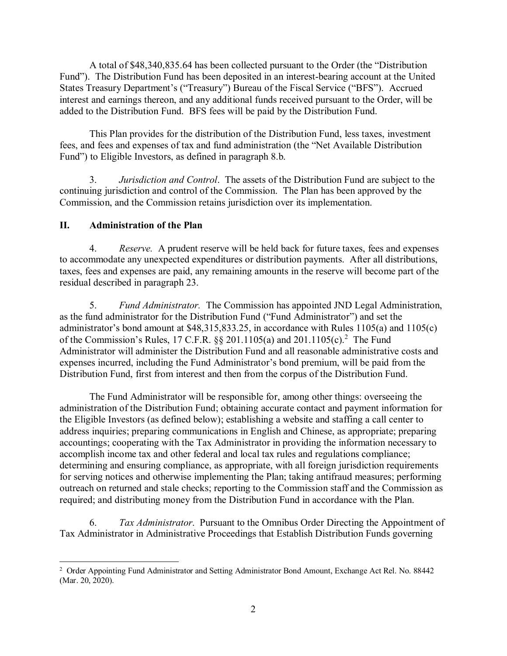A total of \$48,340,835.64 has been collected pursuant to the Order (the "Distribution Fund"). The Distribution Fund has been deposited in an interest-bearing account at the United States Treasury Department's ("Treasury") Bureau of the Fiscal Service ("BFS"). Accrued interest and earnings thereon, and any additional funds received pursuant to the Order, will be added to the Distribution Fund. BFS fees will be paid by the Distribution Fund.

This Plan provides for the distribution of the Distribution Fund, less taxes, investment fees, and fees and expenses of tax and fund administration (the "Net Available Distribution Fund") to Eligible Investors, as defined in paragraph 8.b.

3. *Jurisdiction and Control*. The assets of the Distribution Fund are subject to the continuing jurisdiction and control of the Commission. The Plan has been approved by the Commission, and the Commission retains jurisdiction over its implementation.

# **II. Administration of the Plan**

4. *Reserve.* A prudent reserve will be held back for future taxes, fees and expenses to accommodate any unexpected expenditures or distribution payments. After all distributions, taxes, fees and expenses are paid, any remaining amounts in the reserve will become part of the residual described in paragraph 23.

5. *Fund Administrator.* The Commission has appointed JND Legal Administration, as the fund administrator for the Distribution Fund ("Fund Administrator") and set the administrator's bond amount at \$48,315,833.25, in accordance with Rules 1105(a) and 1105(c) of the Commission's Rules, 17 C.F.R. §§ 201.1105(a) and 201.1105(c).<sup>2</sup> The Fund Administrator will administer the Distribution Fund and all reasonable administrative costs and expenses incurred, including the Fund Administrator's bond premium, will be paid from the Distribution Fund, first from interest and then from the corpus of the Distribution Fund.

The Fund Administrator will be responsible for, among other things: overseeing the administration of the Distribution Fund; obtaining accurate contact and payment information for the Eligible Investors (as defined below); establishing a website and staffing a call center to address inquiries; preparing communications in English and Chinese, as appropriate; preparing accountings; cooperating with the Tax Administrator in providing the information necessary to accomplish income tax and other federal and local tax rules and regulations compliance; determining and ensuring compliance, as appropriate, with all foreign jurisdiction requirements for serving notices and otherwise implementing the Plan; taking antifraud measures; performing outreach on returned and stale checks; reporting to the Commission staff and the Commission as required; and distributing money from the Distribution Fund in accordance with the Plan.

6. *Tax Administrator*. Pursuant to the Omnibus Order Directing the Appointment of Tax Administrator in Administrative Proceedings that Establish Distribution Funds governing

<sup>&</sup>lt;sup>2</sup> Order Appointing Fund Administrator and Setting Administrator Bond Amount, Exchange Act Rel. No. 88442 (Mar. 20, 2020).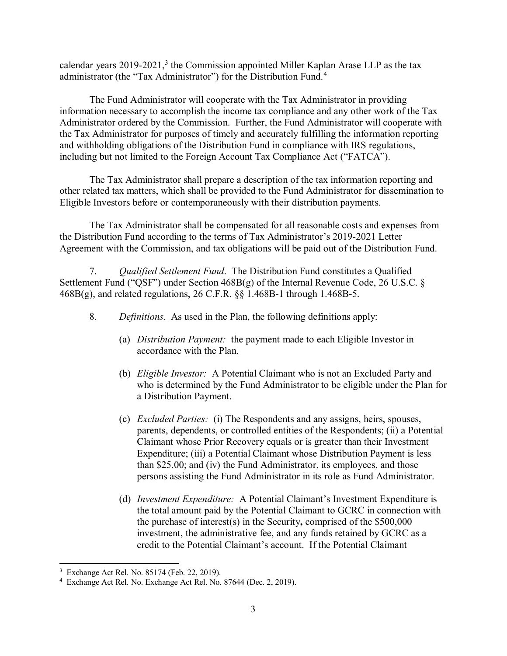calendar years  $2019-2021$ ,<sup>3</sup> the Commission appointed Miller Kaplan Arase LLP as the tax administrator (the "Tax Administrator") for the Distribution Fund.<sup>4</sup>

The Fund Administrator will cooperate with the Tax Administrator in providing information necessary to accomplish the income tax compliance and any other work of the Tax Administrator ordered by the Commission. Further, the Fund Administrator will cooperate with the Tax Administrator for purposes of timely and accurately fulfilling the information reporting and withholding obligations of the Distribution Fund in compliance with IRS regulations, including but not limited to the Foreign Account Tax Compliance Act ("FATCA").

The Tax Administrator shall prepare a description of the tax information reporting and other related tax matters, which shall be provided to the Fund Administrator for dissemination to Eligible Investors before or contemporaneously with their distribution payments.

The Tax Administrator shall be compensated for all reasonable costs and expenses from the Distribution Fund according to the terms of Tax Administrator's 2019-2021 Letter Agreement with the Commission, and tax obligations will be paid out of the Distribution Fund.

7. *Qualified Settlement Fund*. The Distribution Fund constitutes a Qualified Settlement Fund ("QSF") under Section 468B(g) of the Internal Revenue Code, 26 U.S.C. § 468B(g), and related regulations, 26 C.F.R. §§ 1.468B-1 through 1.468B-5.

- 8. *Definitions.* As used in the Plan, the following definitions apply:
	- (a) *Distribution Payment:* the payment made to each Eligible Investor in accordance with the Plan.
	- (b) *Eligible Investor:* A Potential Claimant who is not an Excluded Party and who is determined by the Fund Administrator to be eligible under the Plan for a Distribution Payment.
	- (c) *Excluded Parties:* (i) The Respondents and any assigns, heirs, spouses, parents, dependents, or controlled entities of the Respondents; (ii) a Potential Claimant whose Prior Recovery equals or is greater than their Investment Expenditure; (iii) a Potential Claimant whose Distribution Payment is less than \$25.00; and (iv) the Fund Administrator, its employees, and those persons assisting the Fund Administrator in its role as Fund Administrator.
	- (d) *Investment Expenditure:* A Potential Claimant's Investment Expenditure is the total amount paid by the Potential Claimant to GCRC in connection with the purchase of interest(s) in the Security**,** comprised of the \$500,000 investment, the administrative fee, and any funds retained by GCRC as a credit to the Potential Claimant's account. If the Potential Claimant

<sup>3</sup> Exchange Act Rel. No. 85174 (Feb. 22, 2019).

<sup>4</sup> Exchange Act Rel. No. Exchange Act Rel. No. 87644 (Dec. 2, 2019).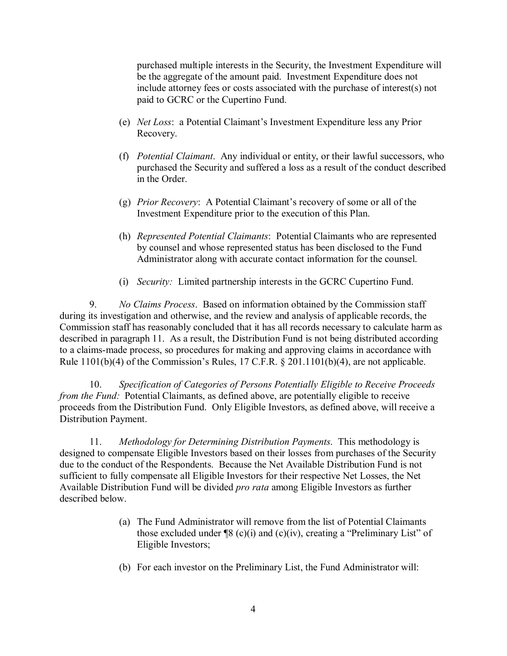purchased multiple interests in the Security, the Investment Expenditure will be the aggregate of the amount paid. Investment Expenditure does not include attorney fees or costs associated with the purchase of interest(s) not paid to GCRC or the Cupertino Fund.

- (e) *Net Loss*: a Potential Claimant's Investment Expenditure less any Prior Recovery.
- (f) *Potential Claimant*. Any individual or entity, or their lawful successors, who purchased the Security and suffered a loss as a result of the conduct described in the Order.
- (g) *Prior Recovery*: A Potential Claimant's recovery of some or all of the Investment Expenditure prior to the execution of this Plan.
- (h) *Represented Potential Claimants*: Potential Claimants who are represented by counsel and whose represented status has been disclosed to the Fund Administrator along with accurate contact information for the counsel.
- (i) *Security:* Limited partnership interests in the GCRC Cupertino Fund.

9. *No Claims Process*. Based on information obtained by the Commission staff during its investigation and otherwise, and the review and analysis of applicable records, the Commission staff has reasonably concluded that it has all records necessary to calculate harm as described in paragraph 11. As a result, the Distribution Fund is not being distributed according to a claims-made process, so procedures for making and approving claims in accordance with Rule 1101(b)(4) of the Commission's Rules, 17 C.F.R. § 201.1101(b)(4), are not applicable.

10. *Specification of Categories of Persons Potentially Eligible to Receive Proceeds from the Fund:* Potential Claimants, as defined above, are potentially eligible to receive proceeds from the Distribution Fund. Only Eligible Investors, as defined above, will receive a Distribution Payment.

11. *Methodology for Determining Distribution Payments*. This methodology is designed to compensate Eligible Investors based on their losses from purchases of the Security due to the conduct of the Respondents. Because the Net Available Distribution Fund is not sufficient to fully compensate all Eligible Investors for their respective Net Losses, the Net Available Distribution Fund will be divided *pro rata* among Eligible Investors as further described below.

- (a) The Fund Administrator will remove from the list of Potential Claimants those excluded under  $\mathcal{P}(s)$  (c)(i) and (c)(iv), creating a "Preliminary List" of Eligible Investors;
- (b) For each investor on the Preliminary List, the Fund Administrator will: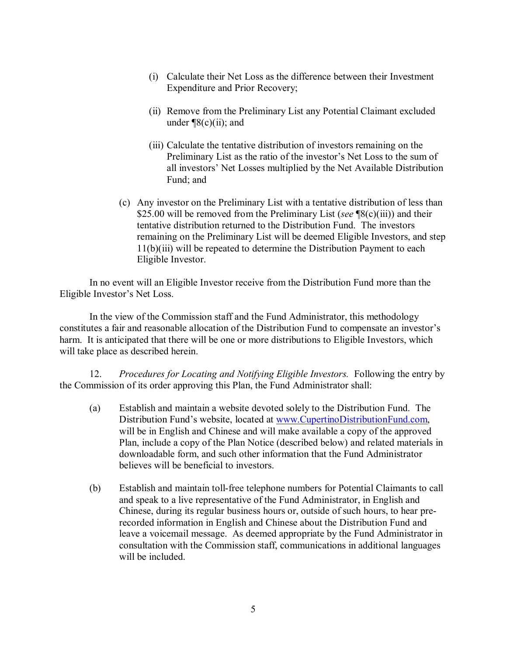- (i) Calculate their Net Loss as the difference between their Investment Expenditure and Prior Recovery;
- (ii) Remove from the Preliminary List any Potential Claimant excluded under  $\P(8(c)(ii))$ ; and
- (iii) Calculate the tentative distribution of investors remaining on the Preliminary List as the ratio of the investor's Net Loss to the sum of all investors' Net Losses multiplied by the Net Available Distribution Fund; and
- (c) Any investor on the Preliminary List with a tentative distribution of less than \$25.00 will be removed from the Preliminary List (*see* ¶8(c)(iii)) and their tentative distribution returned to the Distribution Fund. The investors remaining on the Preliminary List will be deemed Eligible Investors, and step 11(b)(iii) will be repeated to determine the Distribution Payment to each Eligible Investor.

In no event will an Eligible Investor receive from the Distribution Fund more than the Eligible Investor's Net Loss.

In the view of the Commission staff and the Fund Administrator, this methodology constitutes a fair and reasonable allocation of the Distribution Fund to compensate an investor's harm. It is anticipated that there will be one or more distributions to Eligible Investors, which will take place as described herein.

12. *Procedures for Locating and Notifying Eligible Investors.* Following the entry by the Commission of its order approving this Plan, the Fund Administrator shall:

- (a) Establish and maintain a website devoted solely to the Distribution Fund. The Distribution Fund's website, located at www.CupertinoDistributionFund.com, will be in English and Chinese and will make available a copy of the approved Plan, include a copy of the Plan Notice (described below) and related materials in downloadable form, and such other information that the Fund Administrator believes will be beneficial to investors.
- (b) Establish and maintain toll-free telephone numbers for Potential Claimants to call and speak to a live representative of the Fund Administrator, in English and Chinese, during its regular business hours or, outside of such hours, to hear prerecorded information in English and Chinese about the Distribution Fund and leave a voicemail message. As deemed appropriate by the Fund Administrator in consultation with the Commission staff, communications in additional languages will be included.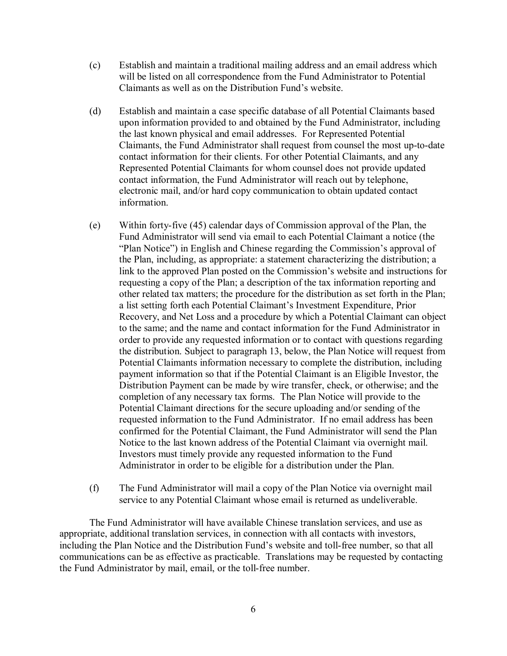- (c) Establish and maintain a traditional mailing address and an email address which will be listed on all correspondence from the Fund Administrator to Potential Claimants as well as on the Distribution Fund's website.
- (d) Establish and maintain a case specific database of all Potential Claimants based upon information provided to and obtained by the Fund Administrator, including the last known physical and email addresses. For Represented Potential Claimants, the Fund Administrator shall request from counsel the most up-to-date contact information for their clients. For other Potential Claimants, and any Represented Potential Claimants for whom counsel does not provide updated contact information, the Fund Administrator will reach out by telephone, electronic mail, and/or hard copy communication to obtain updated contact information.
- (e) Within forty-five (45) calendar days of Commission approval of the Plan, the Fund Administrator will send via email to each Potential Claimant a notice (the "Plan Notice") in English and Chinese regarding the Commission's approval of the Plan, including, as appropriate: a statement characterizing the distribution; a link to the approved Plan posted on the Commission's website and instructions for requesting a copy of the Plan; a description of the tax information reporting and other related tax matters; the procedure for the distribution as set forth in the Plan; a list setting forth each Potential Claimant's Investment Expenditure, Prior Recovery, and Net Loss and a procedure by which a Potential Claimant can object to the same; and the name and contact information for the Fund Administrator in order to provide any requested information or to contact with questions regarding the distribution. Subject to paragraph 13, below, the Plan Notice will request from Potential Claimants information necessary to complete the distribution, including payment information so that if the Potential Claimant is an Eligible Investor, the Distribution Payment can be made by wire transfer, check, or otherwise; and the completion of any necessary tax forms. The Plan Notice will provide to the Potential Claimant directions for the secure uploading and/or sending of the requested information to the Fund Administrator. If no email address has been confirmed for the Potential Claimant, the Fund Administrator will send the Plan Notice to the last known address of the Potential Claimant via overnight mail. Investors must timely provide any requested information to the Fund Administrator in order to be eligible for a distribution under the Plan.
- (f) The Fund Administrator will mail a copy of the Plan Notice via overnight mail service to any Potential Claimant whose email is returned as undeliverable.

The Fund Administrator will have available Chinese translation services, and use as appropriate, additional translation services, in connection with all contacts with investors, including the Plan Notice and the Distribution Fund's website and toll-free number, so that all communications can be as effective as practicable. Translations may be requested by contacting the Fund Administrator by mail, email, or the toll-free number.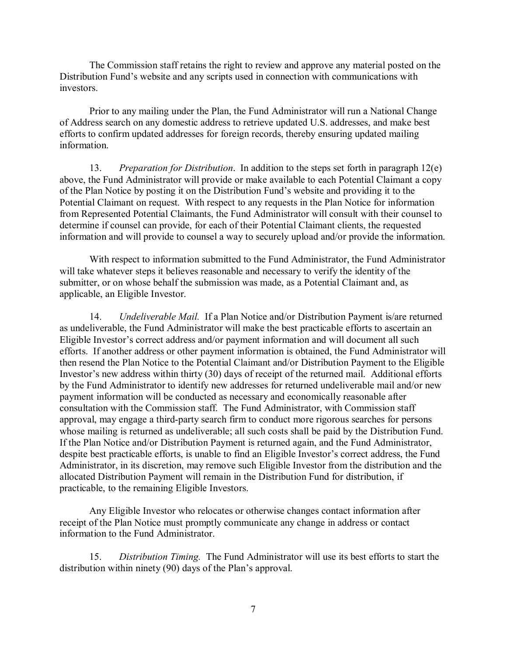The Commission staff retains the right to review and approve any material posted on the Distribution Fund's website and any scripts used in connection with communications with investors.

Prior to any mailing under the Plan, the Fund Administrator will run a National Change of Address search on any domestic address to retrieve updated U.S. addresses, and make best efforts to confirm updated addresses for foreign records, thereby ensuring updated mailing information.

13. *Preparation for Distribution*. In addition to the steps set forth in paragraph 12(e) above, the Fund Administrator will provide or make available to each Potential Claimant a copy of the Plan Notice by posting it on the Distribution Fund's website and providing it to the Potential Claimant on request. With respect to any requests in the Plan Notice for information from Represented Potential Claimants, the Fund Administrator will consult with their counsel to determine if counsel can provide, for each of their Potential Claimant clients, the requested information and will provide to counsel a way to securely upload and/or provide the information.

With respect to information submitted to the Fund Administrator, the Fund Administrator will take whatever steps it believes reasonable and necessary to verify the identity of the submitter, or on whose behalf the submission was made, as a Potential Claimant and, as applicable, an Eligible Investor.

14. *Undeliverable Mail.* If a Plan Notice and/or Distribution Payment is/are returned as undeliverable, the Fund Administrator will make the best practicable efforts to ascertain an Eligible Investor's correct address and/or payment information and will document all such efforts. If another address or other payment information is obtained, the Fund Administrator will then resend the Plan Notice to the Potential Claimant and/or Distribution Payment to the Eligible Investor's new address within thirty (30) days of receipt of the returned mail. Additional efforts by the Fund Administrator to identify new addresses for returned undeliverable mail and/or new payment information will be conducted as necessary and economically reasonable after consultation with the Commission staff. The Fund Administrator, with Commission staff approval, may engage a third-party search firm to conduct more rigorous searches for persons whose mailing is returned as undeliverable; all such costs shall be paid by the Distribution Fund. If the Plan Notice and/or Distribution Payment is returned again, and the Fund Administrator, despite best practicable efforts, is unable to find an Eligible Investor's correct address, the Fund Administrator, in its discretion, may remove such Eligible Investor from the distribution and the allocated Distribution Payment will remain in the Distribution Fund for distribution, if practicable, to the remaining Eligible Investors.

Any Eligible Investor who relocates or otherwise changes contact information after receipt of the Plan Notice must promptly communicate any change in address or contact information to the Fund Administrator.

15. *Distribution Timing.* The Fund Administrator will use its best efforts to start the distribution within ninety (90) days of the Plan's approval.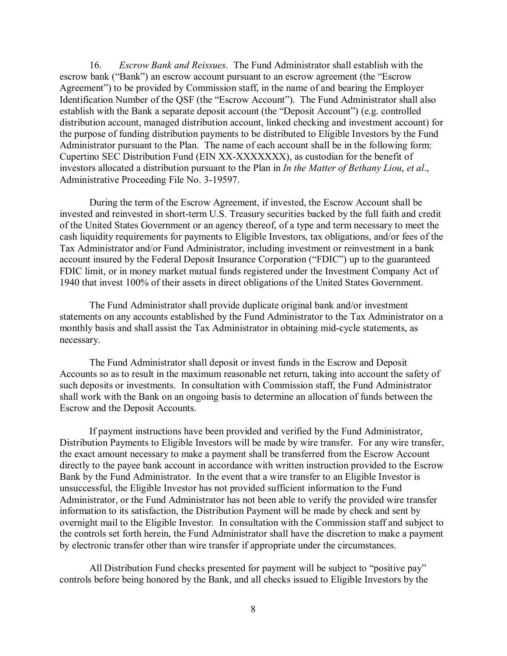16. *Escrow Bank and Reissues*. The Fund Administrator shall establish with the escrow bank ("Bank") an escrow account pursuant to an escrow agreement (the "Escrow Agreement") to be provided by Commission staff, in the name of and bearing the Employer Identification Number of the QSF (the "Escrow Account"). The Fund Administrator shall also establish with the Bank a separate deposit account (the "Deposit Account") (e.g. controlled distribution account, managed distribution account, linked checking and investment account) for the purpose of funding distribution payments to be distributed to Eligible Investors by the Fund Administrator pursuant to the Plan. The name of each account shall be in the following form: Cupertino SEC Distribution Fund (EIN XX-XXXXXXX), as custodian for the benefit of investors allocated a distribution pursuant to the Plan in *In the Matter of Bethany Liou*, *et al*., Administrative Proceeding File No. 3-19597.

During the term of the Escrow Agreement, if invested, the Escrow Account shall be invested and reinvested in short-term U.S. Treasury securities backed by the full faith and credit of the United States Government or an agency thereof, of a type and term necessary to meet the cash liquidity requirements for payments to Eligible Investors, tax obligations, and/or fees of the Tax Administrator and/or Fund Administrator, including investment or reinvestment in a bank account insured by the Federal Deposit Insurance Corporation ("FDIC") up to the guaranteed FDIC limit, or in money market mutual funds registered under the Investment Company Act of 1940 that invest 100% of their assets in direct obligations of the United States Government.

The Fund Administrator shall provide duplicate original bank and/or investment statements on any accounts established by the Fund Administrator to the Tax Administrator on a monthly basis and shall assist the Tax Administrator in obtaining mid-cycle statements, as necessary.

The Fund Administrator shall deposit or invest funds in the Escrow and Deposit Accounts so as to result in the maximum reasonable net return, taking into account the safety of such deposits or investments. In consultation with Commission staff, the Fund Administrator shall work with the Bank on an ongoing basis to determine an allocation of funds between the Escrow and the Deposit Accounts.

If payment instructions have been provided and verified by the Fund Administrator, Distribution Payments to Eligible Investors will be made by wire transfer. For any wire transfer, the exact amount necessary to make a payment shall be transferred from the Escrow Account directly to the payee bank account in accordance with written instruction provided to the Escrow Bank by the Fund Administrator. In the event that a wire transfer to an Eligible Investor is unsuccessful, the Eligible Investor has not provided sufficient information to the Fund Administrator, or the Fund Administrator has not been able to verify the provided wire transfer information to its satisfaction, the Distribution Payment will be made by check and sent by overnight mail to the Eligible Investor. In consultation with the Commission staff and subject to the controls set forth herein, the Fund Administrator shall have the discretion to make a payment by electronic transfer other than wire transfer if appropriate under the circumstances.

All Distribution Fund checks presented for payment will be subject to "positive pay" controls before being honored by the Bank, and all checks issued to Eligible Investors by the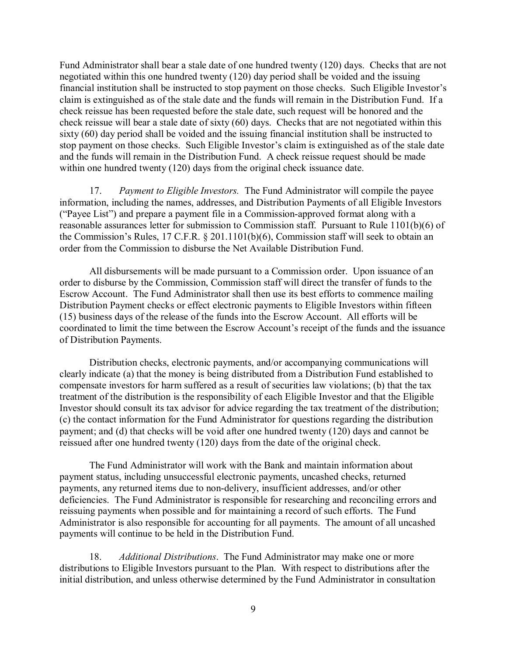Fund Administrator shall bear a stale date of one hundred twenty (120) days. Checks that are not negotiated within this one hundred twenty (120) day period shall be voided and the issuing financial institution shall be instructed to stop payment on those checks. Such Eligible Investor's claim is extinguished as of the stale date and the funds will remain in the Distribution Fund. If a check reissue has been requested before the stale date, such request will be honored and the check reissue will bear a stale date of sixty (60) days. Checks that are not negotiated within this sixty (60) day period shall be voided and the issuing financial institution shall be instructed to stop payment on those checks. Such Eligible Investor's claim is extinguished as of the stale date and the funds will remain in the Distribution Fund. A check reissue request should be made within one hundred twenty (120) days from the original check issuance date.

17. *Payment to Eligible Investors.* The Fund Administrator will compile the payee information, including the names, addresses, and Distribution Payments of all Eligible Investors ("Payee List") and prepare a payment file in a Commission-approved format along with a reasonable assurances letter for submission to Commission staff. Pursuant to Rule 1101(b)(6) of the Commission's Rules, 17 C.F.R. § 201.1101(b)(6), Commission staff will seek to obtain an order from the Commission to disburse the Net Available Distribution Fund.

All disbursements will be made pursuant to a Commission order. Upon issuance of an order to disburse by the Commission, Commission staff will direct the transfer of funds to the Escrow Account. The Fund Administrator shall then use its best efforts to commence mailing Distribution Payment checks or effect electronic payments to Eligible Investors within fifteen (15) business days of the release of the funds into the Escrow Account. All efforts will be coordinated to limit the time between the Escrow Account's receipt of the funds and the issuance of Distribution Payments.

Distribution checks, electronic payments, and/or accompanying communications will clearly indicate (a) that the money is being distributed from a Distribution Fund established to compensate investors for harm suffered as a result of securities law violations; (b) that the tax treatment of the distribution is the responsibility of each Eligible Investor and that the Eligible Investor should consult its tax advisor for advice regarding the tax treatment of the distribution; (c) the contact information for the Fund Administrator for questions regarding the distribution payment; and (d) that checks will be void after one hundred twenty (120) days and cannot be reissued after one hundred twenty (120) days from the date of the original check.

The Fund Administrator will work with the Bank and maintain information about payment status, including unsuccessful electronic payments, uncashed checks, returned payments, any returned items due to non-delivery, insufficient addresses, and/or other deficiencies. The Fund Administrator is responsible for researching and reconciling errors and reissuing payments when possible and for maintaining a record of such efforts. The Fund Administrator is also responsible for accounting for all payments. The amount of all uncashed payments will continue to be held in the Distribution Fund.

18. *Additional Distributions*. The Fund Administrator may make one or more distributions to Eligible Investors pursuant to the Plan. With respect to distributions after the initial distribution, and unless otherwise determined by the Fund Administrator in consultation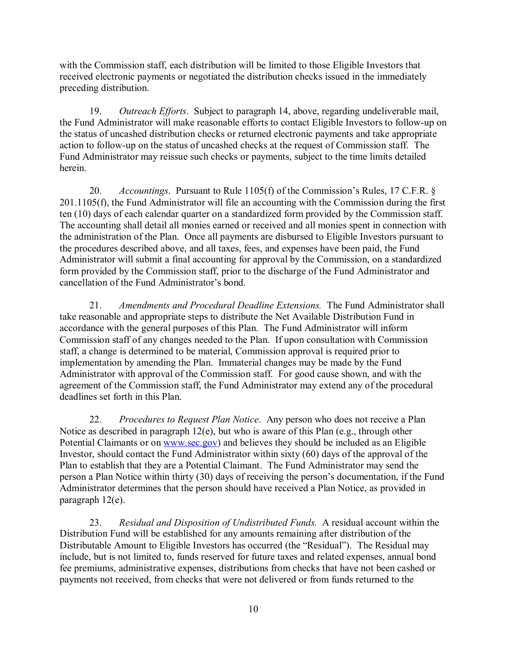with the Commission staff, each distribution will be limited to those Eligible Investors that received electronic payments or negotiated the distribution checks issued in the immediately preceding distribution.

19. *Outreach Efforts*. Subject to paragraph 14, above, regarding undeliverable mail, the Fund Administrator will make reasonable efforts to contact Eligible Investors to follow-up on the status of uncashed distribution checks or returned electronic payments and take appropriate action to follow-up on the status of uncashed checks at the request of Commission staff. The Fund Administrator may reissue such checks or payments, subject to the time limits detailed herein.

20. *Accountings*. Pursuant to Rule 1105(f) of the Commission's Rules, 17 C.F.R. § 201.1105(f), the Fund Administrator will file an accounting with the Commission during the first ten (10) days of each calendar quarter on a standardized form provided by the Commission staff. The accounting shall detail all monies earned or received and all monies spent in connection with the administration of the Plan. Once all payments are disbursed to Eligible Investors pursuant to the procedures described above, and all taxes, fees, and expenses have been paid, the Fund Administrator will submit a final accounting for approval by the Commission, on a standardized form provided by the Commission staff, prior to the discharge of the Fund Administrator and cancellation of the Fund Administrator's bond.

21. *Amendments and Procedural Deadline Extensions.* The Fund Administrator shall take reasonable and appropriate steps to distribute the Net Available Distribution Fund in accordance with the general purposes of this Plan. The Fund Administrator will inform Commission staff of any changes needed to the Plan. If upon consultation with Commission staff, a change is determined to be material, Commission approval is required prior to implementation by amending the Plan. Immaterial changes may be made by the Fund Administrator with approval of the Commission staff. For good cause shown, and with the agreement of the Commission staff, the Fund Administrator may extend any of the procedural deadlines set forth in this Plan.

22. *Procedures to Request Plan Notice*. Any person who does not receive a Plan Notice as described in paragraph 12(e), but who is aware of this Plan (e.g., through other Potential Claimants or on www.sec.gov) and believes they should be included as an Eligible Investor, should contact the Fund Administrator within sixty (60) days of the approval of the Plan to establish that they are a Potential Claimant. The Fund Administrator may send the person a Plan Notice within thirty (30) days of receiving the person's documentation, if the Fund Administrator determines that the person should have received a Plan Notice, as provided in paragraph 12(e).

23. *Residual and Disposition of Undistributed Funds.* A residual account within the Distribution Fund will be established for any amounts remaining after distribution of the Distributable Amount to Eligible Investors has occurred (the "Residual"). The Residual may include, but is not limited to, funds reserved for future taxes and related expenses, annual bond fee premiums, administrative expenses, distributions from checks that have not been cashed or payments not received, from checks that were not delivered or from funds returned to the